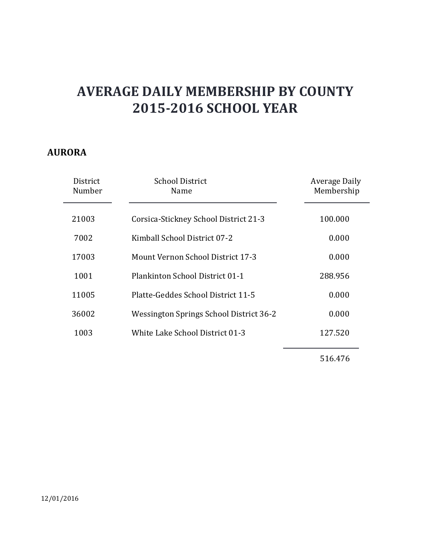### **AURORA**

| District<br>Number | <b>School District</b><br>Name          | <b>Average Daily</b><br>Membership |
|--------------------|-----------------------------------------|------------------------------------|
| 21003              | Corsica-Stickney School District 21-3   | 100.000                            |
| 7002               | Kimball School District 07-2            | 0.000                              |
| 17003              | Mount Vernon School District 17-3       | 0.000                              |
| 1001               | Plankinton School District 01-1         | 288.956                            |
| 11005              | Platte-Geddes School District 11-5      | 0.000                              |
| 36002              | Wessington Springs School District 36-2 | 0.000                              |
| 1003               | White Lake School District 01-3         | 127.520                            |
|                    |                                         | 516.476                            |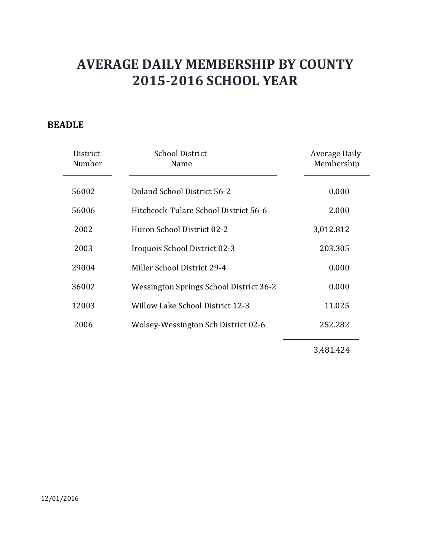### **BEADLE**

| District<br>Number | <b>School District</b><br>Name          | <b>Average Daily</b><br>Membership |
|--------------------|-----------------------------------------|------------------------------------|
| 56002              | Doland School District 56-2             | 0.000                              |
| 56006              | Hitchcock-Tulare School District 56-6   | 2.000                              |
| 2002               | Huron School District 02-2              | 3,012.812                          |
| 2003               | Iroquois School District 02-3           | 203.305                            |
| 29004              | Miller School District 29-4             | 0.000                              |
| 36002              | Wessington Springs School District 36-2 | 0.000                              |
| 12003              | <b>Willow Lake School District 12-3</b> | 11.025                             |
| 2006               | Wolsey-Wessington Sch District 02-6     | 252.282                            |
|                    |                                         |                                    |

3,481.424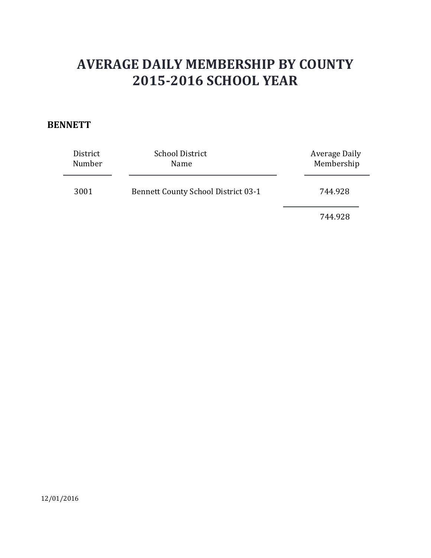### **BENNETT**

| District<br>Number | <b>School District</b><br>Name             | Average Daily<br>Membership |
|--------------------|--------------------------------------------|-----------------------------|
| 3001               | <b>Bennett County School District 03-1</b> | 744.928                     |
|                    |                                            | 744.928                     |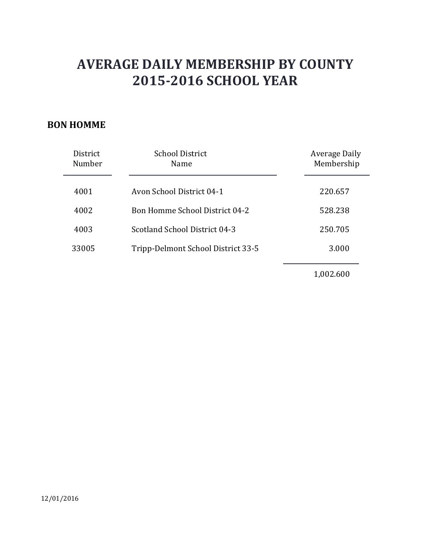### **BON HOMME**

| District<br>Number | <b>School District</b><br>Name        | Average Daily<br>Membership |
|--------------------|---------------------------------------|-----------------------------|
| 4001               | Avon School District 04-1             | 220.657                     |
| 4002               | <b>Bon Homme School District 04-2</b> | 528.238                     |
| 4003               | Scotland School District 04-3         | 250.705                     |
| 33005              | Tripp-Delmont School District 33-5    | 3.000                       |
|                    |                                       | 1,002.600                   |

12/01/2016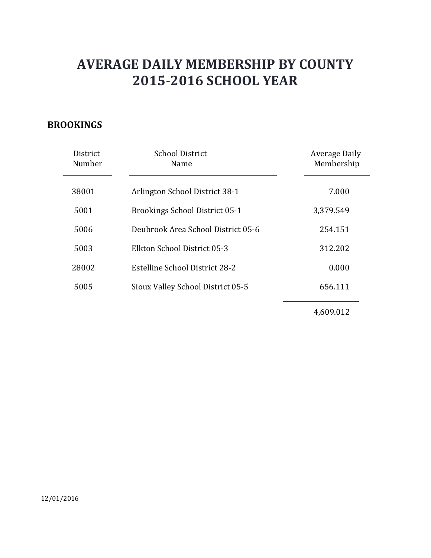### **BROOKINGS**

| District<br>Number | <b>School District</b><br>Name        | Average Daily<br>Membership |
|--------------------|---------------------------------------|-----------------------------|
| 38001              | Arlington School District 38-1        | 7.000                       |
| 5001               | <b>Brookings School District 05-1</b> | 3,379.549                   |
| 5006               | Deubrook Area School District 05-6    | 254.151                     |
| 5003               | Elkton School District 05-3           | 312.202                     |
| 28002              | Estelline School District 28-2        | 0.000                       |
| 5005               | Sioux Valley School District 05-5     | 656.111                     |
|                    |                                       |                             |

4,609.012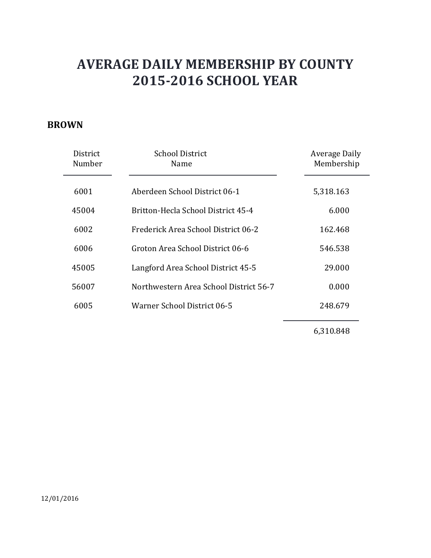#### **BROWN**

| District<br>Number | <b>School District</b><br>Name         | Average Daily<br>Membership |
|--------------------|----------------------------------------|-----------------------------|
| 6001               | Aberdeen School District 06-1          | 5,318.163                   |
| 45004              | Britton-Hecla School District 45-4     | 6.000                       |
| 6002               | Frederick Area School District 06-2    | 162.468                     |
| 6006               | Groton Area School District 06-6       | 546.538                     |
| 45005              | Langford Area School District 45-5     | 29.000                      |
| 56007              | Northwestern Area School District 56-7 | 0.000                       |
| 6005               | Warner School District 06-5            | 248.679                     |
|                    |                                        |                             |

6,310.848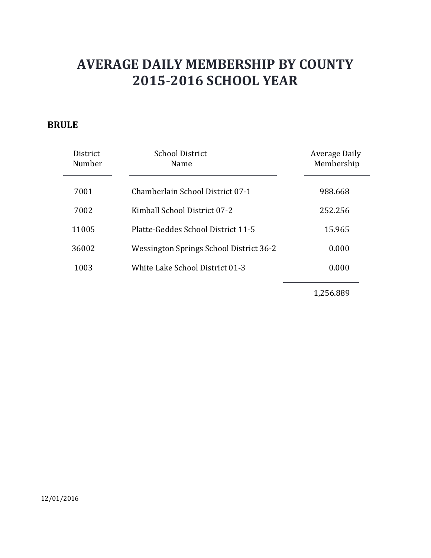### **BRULE**

| <b>District</b><br>Number | <b>School District</b><br>Name                 | Average Daily<br>Membership |
|---------------------------|------------------------------------------------|-----------------------------|
| 7001                      | Chamberlain School District 07-1               | 988.668                     |
| 7002                      | Kimball School District 07-2                   | 252.256                     |
| 11005                     | Platte-Geddes School District 11-5             | 15.965                      |
| 36002                     | <b>Wessington Springs School District 36-2</b> | 0.000                       |
| 1003                      | White Lake School District 01-3                | 0.000                       |
|                           |                                                |                             |

1,256.889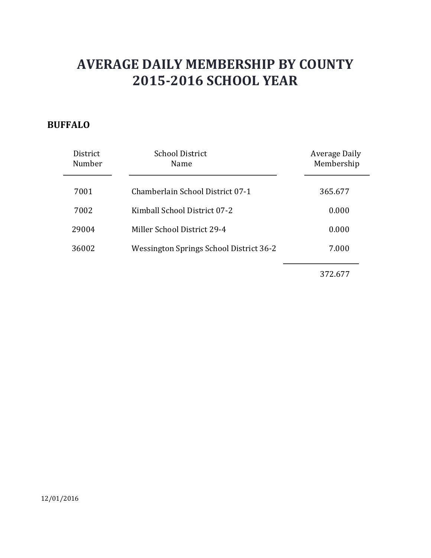### **BUFFALO**

| <b>District</b><br>Number | <b>School District</b><br>Name                 | Average Daily<br>Membership |
|---------------------------|------------------------------------------------|-----------------------------|
| 7001                      | Chamberlain School District 07-1               | 365.677                     |
| 7002                      | Kimball School District 07-2                   | 0.000                       |
| 29004                     | Miller School District 29-4                    | 0.000                       |
| 36002                     | <b>Wessington Springs School District 36-2</b> | 7.000                       |
|                           |                                                |                             |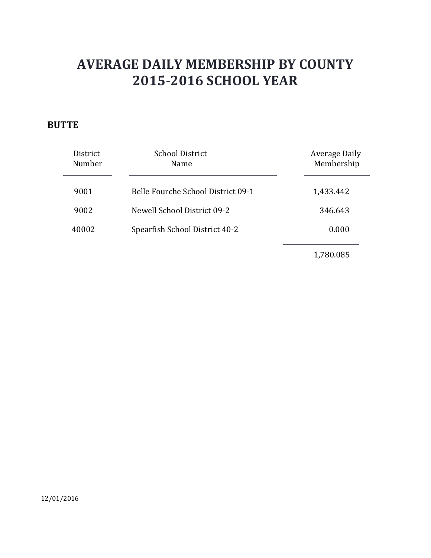### **BUTTE**

| District<br>Number | <b>School District</b><br>Name     | Average Daily<br>Membership |
|--------------------|------------------------------------|-----------------------------|
| 9001               | Belle Fourche School District 09-1 | 1,433.442                   |
| 9002               | Newell School District 09-2        | 346.643                     |
| 40002              | Spearfish School District 40-2     | 0.000                       |
|                    |                                    | 1,780.085                   |

12/01/2016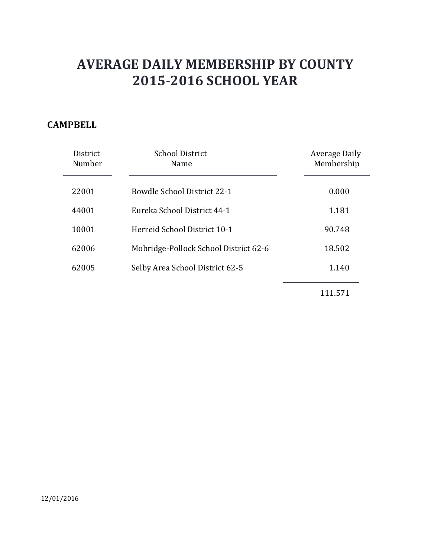### **CAMPBELL**

| District<br>Number | <b>School District</b><br>Name        | Average Daily<br>Membership |
|--------------------|---------------------------------------|-----------------------------|
| 22001              | <b>Bowdle School District 22-1</b>    | 0.000                       |
| 44001              | Eureka School District 44-1           | 1.181                       |
| 10001              | Herreid School District 10-1          | 90.748                      |
| 62006              | Mobridge-Pollock School District 62-6 | 18.502                      |
| 62005              | Selby Area School District 62-5       | 1.140                       |
|                    |                                       |                             |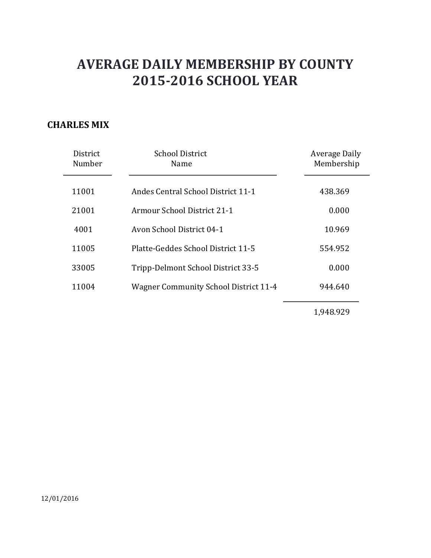### **CHARLES MIX**

| District<br>Number | <b>School District</b><br><b>Name</b>        | Average Daily<br>Membership |
|--------------------|----------------------------------------------|-----------------------------|
| 11001              | Andes Central School District 11-1           | 438.369                     |
| 21001              | Armour School District 21-1                  | 0.000                       |
| 4001               | Avon School District 04-1                    | 10.969                      |
| 11005              | Platte-Geddes School District 11-5           | 554.952                     |
| 33005              | Tripp-Delmont School District 33-5           | 0.000                       |
| 11004              | <b>Wagner Community School District 11-4</b> | 944.640                     |

1,948.929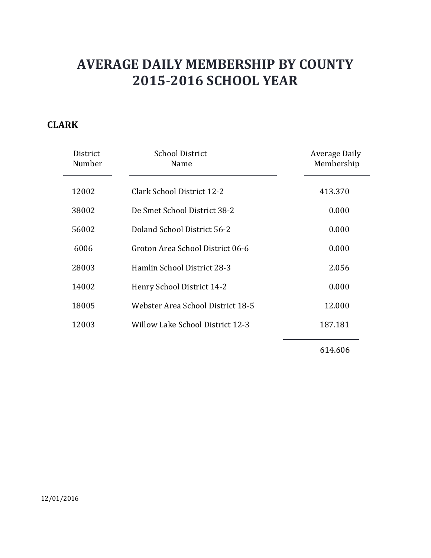### **CLARK**

| District<br>Number | <b>School District</b><br>Name          | Average Daily<br>Membership |
|--------------------|-----------------------------------------|-----------------------------|
| 12002              | Clark School District 12-2              | 413.370                     |
| 38002              | De Smet School District 38-2            | 0.000                       |
| 56002              | Doland School District 56-2             | 0.000                       |
| 6006               | Groton Area School District 06-6        | 0.000                       |
| 28003              | Hamlin School District 28-3             | 2.056                       |
| 14002              | Henry School District 14-2              | 0.000                       |
| 18005              | Webster Area School District 18-5       | 12.000                      |
| 12003              | <b>Willow Lake School District 12-3</b> | 187.181                     |
|                    |                                         |                             |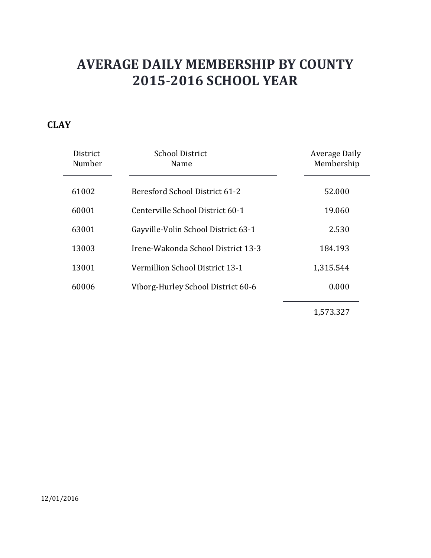### **CLAY**

| District<br>Number | <b>School District</b><br>Name      | Average Daily<br>Membership |
|--------------------|-------------------------------------|-----------------------------|
| 61002              | Beresford School District 61-2      | 52.000                      |
| 60001              | Centerville School District 60-1    | 19.060                      |
| 63001              | Gayville-Volin School District 63-1 | 2.530                       |
| 13003              | Irene-Wakonda School District 13-3  | 184.193                     |
| 13001              | Vermillion School District 13-1     | 1,315.544                   |
| 60006              | Viborg-Hurley School District 60-6  | 0.000                       |
|                    |                                     |                             |

1,573.327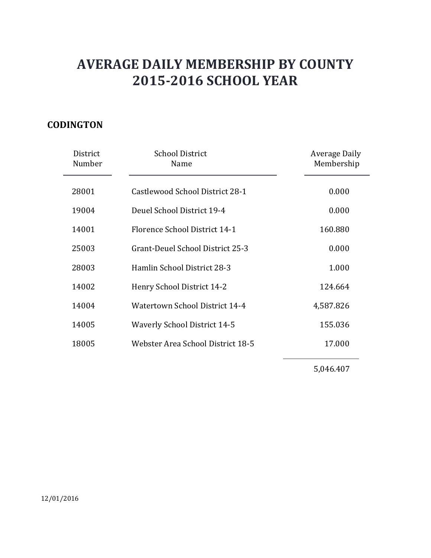### **CODINGTON**

| District<br>Number | <b>School District</b><br>Name      | Average Daily<br>Membership |
|--------------------|-------------------------------------|-----------------------------|
| 28001              | Castlewood School District 28-1     | 0.000                       |
| 19004              | Deuel School District 19-4          | 0.000                       |
| 14001              | Florence School District 14-1       | 160.880                     |
| 25003              | Grant-Deuel School District 25-3    | 0.000                       |
| 28003              | Hamlin School District 28-3         | 1.000                       |
| 14002              | Henry School District 14-2          | 124.664                     |
| 14004              | Watertown School District 14-4      | 4,587.826                   |
| 14005              | <b>Waverly School District 14-5</b> | 155.036                     |
| 18005              | Webster Area School District 18-5   | 17.000                      |
|                    |                                     |                             |

5,046.407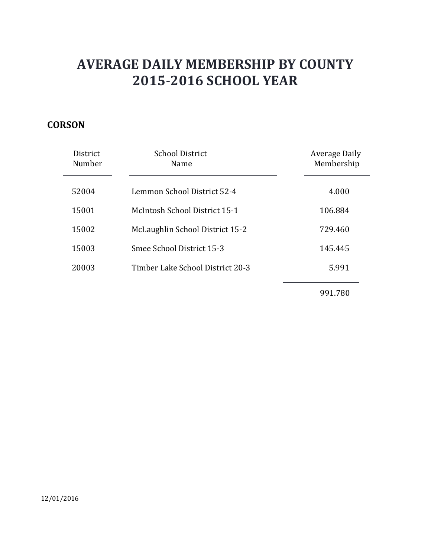### **CORSON**

| District<br>Number | <b>School District</b><br>Name   | Average Daily<br>Membership |
|--------------------|----------------------------------|-----------------------------|
| 52004              | Lemmon School District 52-4      | 4.000                       |
| 15001              | McIntosh School District 15-1    | 106.884                     |
| 15002              | McLaughlin School District 15-2  | 729.460                     |
| 15003              | Smee School District 15-3        | 145.445                     |
| 20003              | Timber Lake School District 20-3 | 5.991                       |
|                    |                                  |                             |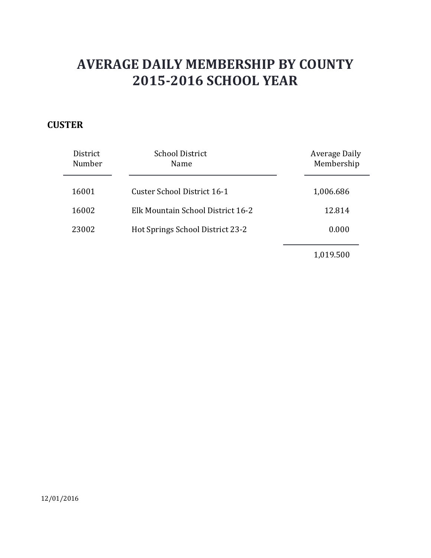### **CUSTER**

| District<br>Number | <b>School District</b><br>Name    | Average Daily<br>Membership |
|--------------------|-----------------------------------|-----------------------------|
| 16001              | Custer School District 16-1       | 1,006.686                   |
| 16002              | Elk Mountain School District 16-2 | 12.814                      |
| 23002              | Hot Springs School District 23-2  | 0.000                       |
|                    |                                   | 1,019.500                   |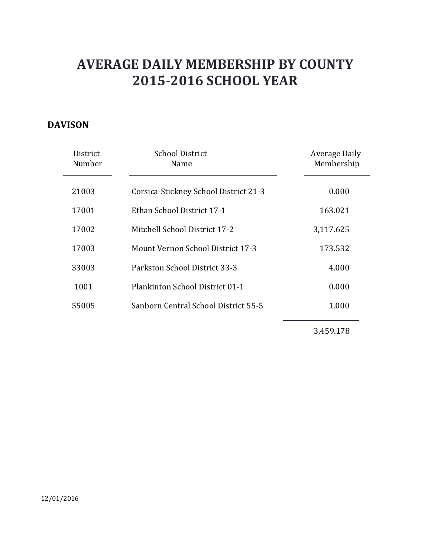### **DAVISON**

| District<br>Number | <b>School District</b><br>Name        | Average Daily<br>Membership |
|--------------------|---------------------------------------|-----------------------------|
| 21003              | Corsica-Stickney School District 21-3 | 0.000                       |
| 17001              | Ethan School District 17-1            | 163.021                     |
| 17002              | Mitchell School District 17-2         | 3,117.625                   |
| 17003              | Mount Vernon School District 17-3     | 173.532                     |
| 33003              | Parkston School District 33-3         | 4.000                       |
| 1001               | Plankinton School District 01-1       | 0.000                       |
| 55005              | Sanborn Central School District 55-5  | 1.000                       |
|                    |                                       |                             |

3,459.178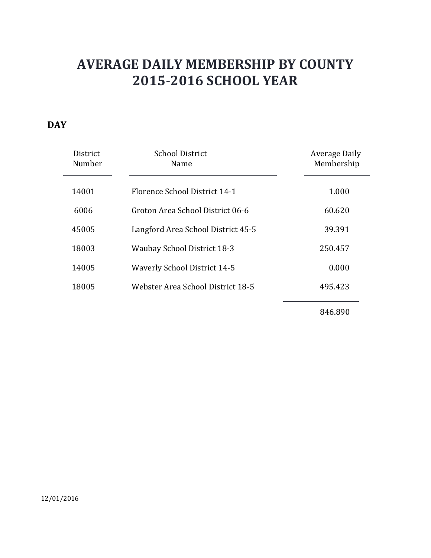### **DAY**

| District<br>Number | <b>School District</b><br>Name      | Average Daily<br>Membership |
|--------------------|-------------------------------------|-----------------------------|
| 14001              | Florence School District 14-1       | 1.000                       |
| 6006               | Groton Area School District 06-6    | 60.620                      |
| 45005              | Langford Area School District 45-5  | 39.391                      |
| 18003              | <b>Waubay School District 18-3</b>  | 250.457                     |
| 14005              | <b>Waverly School District 14-5</b> | 0.000                       |
| 18005              | Webster Area School District 18-5   | 495.423                     |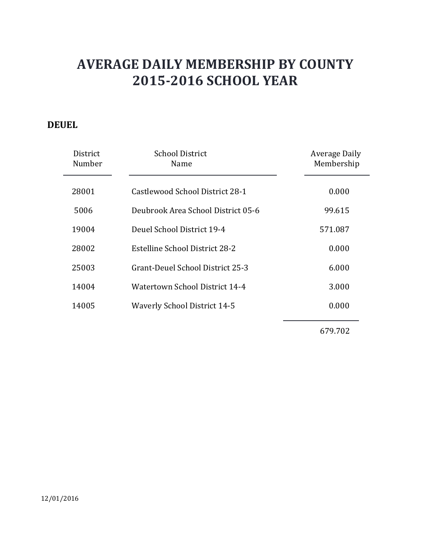### **DEUEL**

| District<br>Number | <b>School District</b><br>Name      | Average Daily<br>Membership |
|--------------------|-------------------------------------|-----------------------------|
| 28001              | Castlewood School District 28-1     | 0.000                       |
| 5006               | Deubrook Area School District 05-6  | 99.615                      |
| 19004              | Deuel School District 19-4          | 571.087                     |
| 28002              | Estelline School District 28-2      | 0.000                       |
| 25003              | Grant-Deuel School District 25-3    | 6.000                       |
| 14004              | Watertown School District 14-4      | 3.000                       |
| 14005              | <b>Waverly School District 14-5</b> | 0.000                       |
|                    |                                     |                             |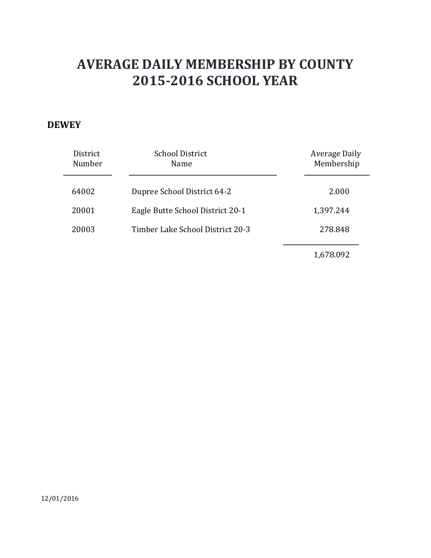#### **DEWEY**

| District<br>Number | <b>School District</b><br>Name   | Average Daily<br>Membership |
|--------------------|----------------------------------|-----------------------------|
| 64002              | Dupree School District 64-2      | 2.000                       |
| 20001              | Eagle Butte School District 20-1 | 1,397.244                   |
| 20003              | Timber Lake School District 20-3 | 278.848                     |
|                    |                                  | 1,678.092                   |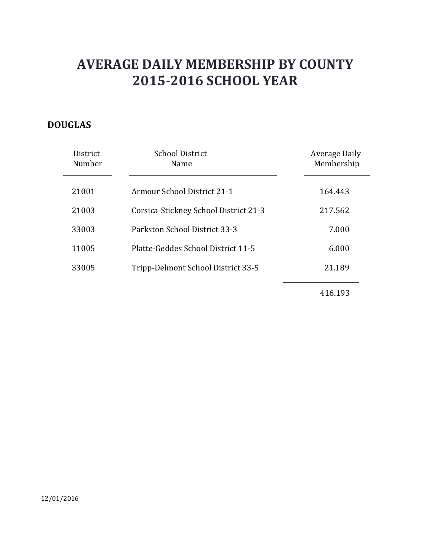### **DOUGLAS**

| District<br>Number | <b>School District</b><br>Name        | <b>Average Daily</b><br>Membership |
|--------------------|---------------------------------------|------------------------------------|
| 21001              | Armour School District 21-1           | 164.443                            |
| 21003              | Corsica-Stickney School District 21-3 | 217.562                            |
| 33003              | Parkston School District 33-3         | 7.000                              |
| 11005              | Platte-Geddes School District 11-5    | 6.000                              |
| 33005              | Tripp-Delmont School District 33-5    | 21.189                             |
|                    |                                       |                                    |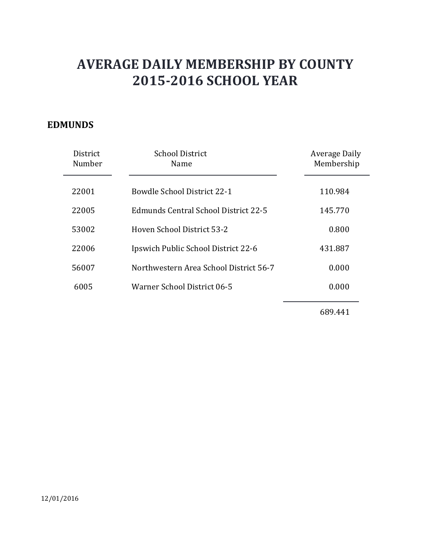### **EDMUNDS**

| District<br>Number | <b>School District</b><br>Name         | Average Daily<br>Membership |
|--------------------|----------------------------------------|-----------------------------|
| 22001              | Bowdle School District 22-1            | 110.984                     |
| 22005              | Edmunds Central School District 22-5   | 145.770                     |
| 53002              | Hoven School District 53-2             | 0.800                       |
| 22006              | Ipswich Public School District 22-6    | 431.887                     |
| 56007              | Northwestern Area School District 56-7 | 0.000                       |
| 6005               | Warner School District 06-5            | 0.000                       |
|                    |                                        |                             |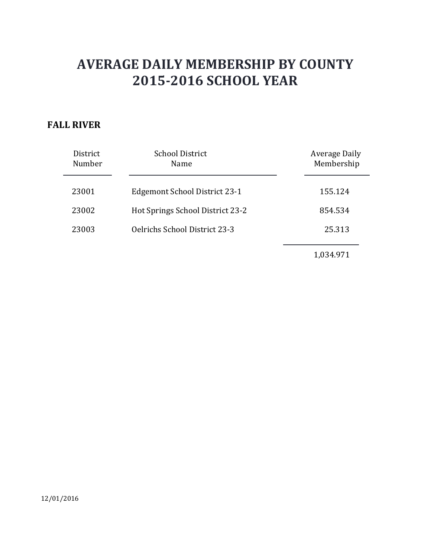### **FALL RIVER**

| District<br>Number | <b>School District</b><br>Name       | Average Daily<br>Membership |
|--------------------|--------------------------------------|-----------------------------|
| 23001              | <b>Edgemont School District 23-1</b> | 155.124                     |
| 23002              | Hot Springs School District 23-2     | 854.534                     |
| 23003              | <b>Oelrichs School District 23-3</b> | 25.313                      |
|                    |                                      | 1,034.971                   |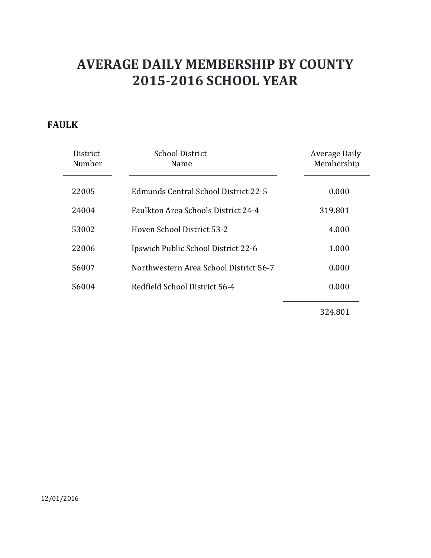### **FAULK**

| District<br>Number | <b>School District</b><br><b>Name</b>       | Average Daily<br>Membership |
|--------------------|---------------------------------------------|-----------------------------|
| 22005              | <b>Edmunds Central School District 22-5</b> | 0.000                       |
| 24004              | <b>Faulkton Area Schools District 24-4</b>  | 319.801                     |
| 53002              | Hoven School District 53-2                  | 4.000                       |
| 22006              | Ipswich Public School District 22-6         | 1.000                       |
| 56007              | Northwestern Area School District 56-7      | 0.000                       |
| 56004              | Redfield School District 56-4               | 0.000                       |
|                    |                                             |                             |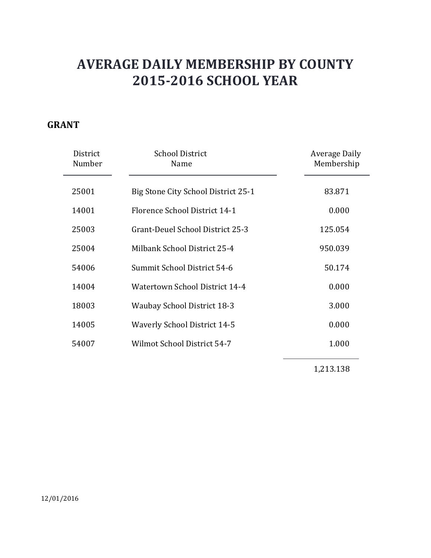### **GRANT**

| District<br>Number | <b>School District</b><br>Name      | Average Daily<br>Membership |
|--------------------|-------------------------------------|-----------------------------|
| 25001              | Big Stone City School District 25-1 | 83.871                      |
| 14001              | Florence School District 14-1       | 0.000                       |
| 25003              | Grant-Deuel School District 25-3    | 125.054                     |
| 25004              | Milbank School District 25-4        | 950.039                     |
| 54006              | Summit School District 54-6         | 50.174                      |
| 14004              | Watertown School District 14-4      | 0.000                       |
| 18003              | <b>Waubay School District 18-3</b>  | 3.000                       |
| 14005              | <b>Waverly School District 14-5</b> | 0.000                       |
| 54007              | Wilmot School District 54-7         | 1.000                       |
|                    |                                     |                             |

1,213.138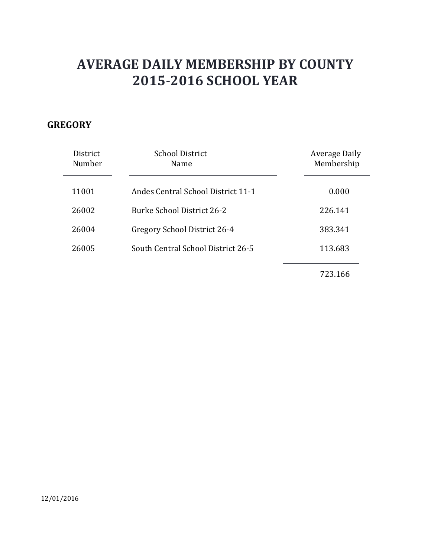### **GREGORY**

| District<br>Number | <b>School District</b><br>Name     | Average Daily<br>Membership |
|--------------------|------------------------------------|-----------------------------|
| 11001              | Andes Central School District 11-1 | 0.000                       |
| 26002              | Burke School District 26-2         | 226.141                     |
| 26004              | Gregory School District 26-4       | 383.341                     |
| 26005              | South Central School District 26-5 | 113.683                     |
|                    |                                    | 723.166                     |

12/01/2016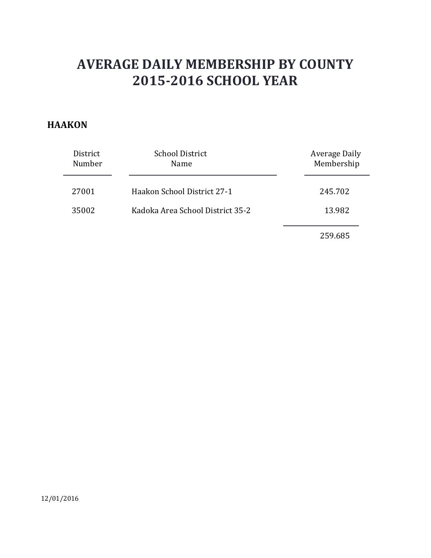#### **HAAKON**

| District<br>Number | <b>School District</b><br>Name   | Average Daily<br>Membership |
|--------------------|----------------------------------|-----------------------------|
| 27001              | Haakon School District 27-1      | 245.702                     |
| 35002              | Kadoka Area School District 35-2 | 13.982                      |
|                    |                                  | 259.685                     |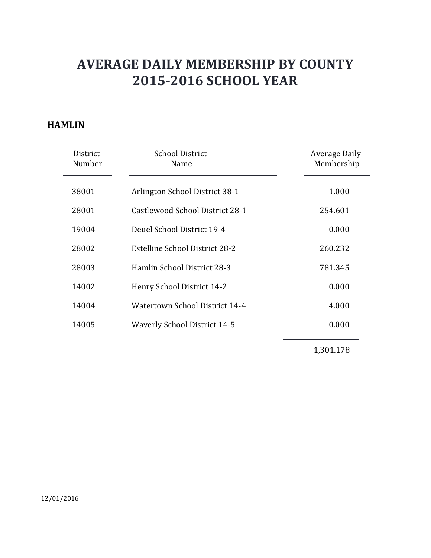#### **HAMLIN**

| District<br>Number | <b>School District</b><br>Name      | <b>Average Daily</b><br>Membership |
|--------------------|-------------------------------------|------------------------------------|
| 38001              | Arlington School District 38-1      | 1.000                              |
| 28001              | Castlewood School District 28-1     | 254.601                            |
| 19004              | Deuel School District 19-4          | 0.000                              |
| 28002              | Estelline School District 28-2      | 260.232                            |
| 28003              | Hamlin School District 28-3         | 781.345                            |
| 14002              | Henry School District 14-2          | 0.000                              |
| 14004              | Watertown School District 14-4      | 4.000                              |
| 14005              | <b>Waverly School District 14-5</b> | 0.000                              |
|                    |                                     |                                    |

1,301.178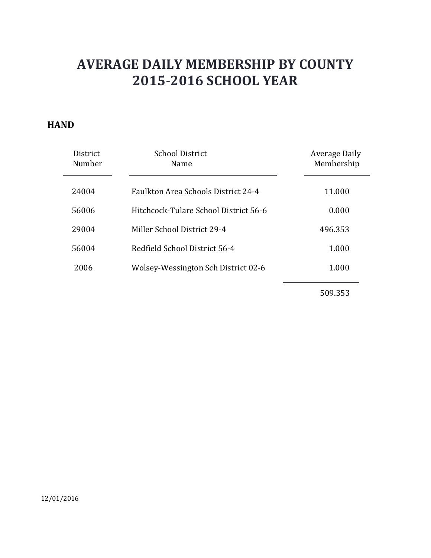#### **HAND**

| <b>District</b><br>Number | <b>School District</b><br>Name             | Average Daily<br>Membership |
|---------------------------|--------------------------------------------|-----------------------------|
| 24004                     | <b>Faulkton Area Schools District 24-4</b> | 11.000                      |
| 56006                     | Hitchcock-Tulare School District 56-6      | 0.000                       |
| 29004                     | Miller School District 29-4                | 496.353                     |
| 56004                     | Redfield School District 56-4              | 1.000                       |
| 2006                      | Wolsey-Wessington Sch District 02-6        | 1.000                       |
|                           |                                            |                             |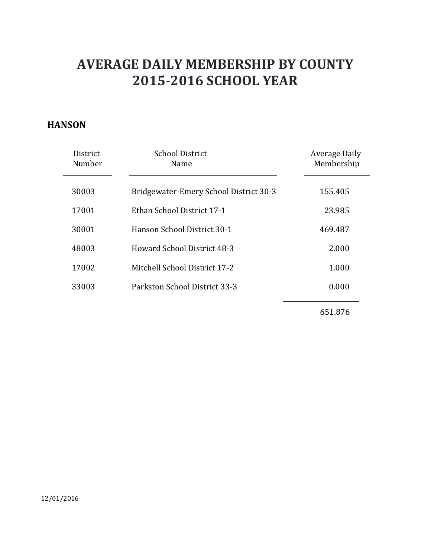#### **HANSON**

| District<br>Number | <b>School District</b><br>Name         | <b>Average Daily</b><br>Membership |
|--------------------|----------------------------------------|------------------------------------|
| 30003              | Bridgewater-Emery School District 30-3 | 155.405                            |
| 17001              | Ethan School District 17-1             | 23.985                             |
| 30001              | Hanson School District 30-1            | 469.487                            |
| 48003              | <b>Howard School District 48-3</b>     | 2.000                              |
| 17002              | Mitchell School District 17-2          | 1.000                              |
| 33003              | Parkston School District 33-3          | 0.000                              |
|                    |                                        |                                    |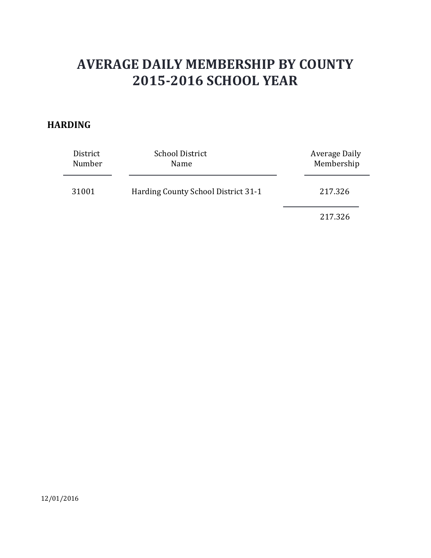### **HARDING**

| District<br>Number | <b>School District</b><br>Name      | Average Daily<br>Membership |
|--------------------|-------------------------------------|-----------------------------|
| 31001              | Harding County School District 31-1 | 217.326                     |
|                    |                                     | 217.326                     |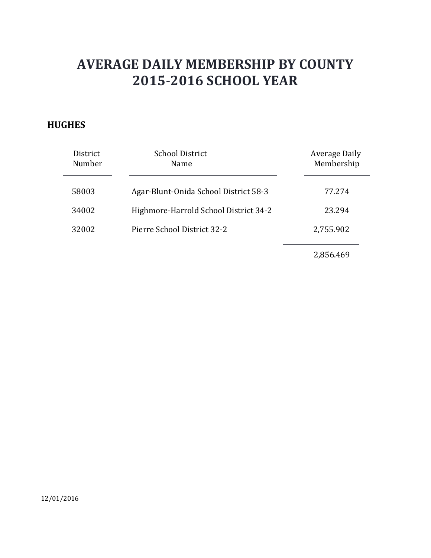### **HUGHES**

| District<br>Number | <b>School District</b><br>Name        | <b>Average Daily</b><br>Membership |
|--------------------|---------------------------------------|------------------------------------|
| 58003              | Agar-Blunt-Onida School District 58-3 | 77.274                             |
| 34002              | Highmore-Harrold School District 34-2 | 23.294                             |
| 32002              | Pierre School District 32-2           | 2,755.902                          |
|                    |                                       | -------                            |

2,856.469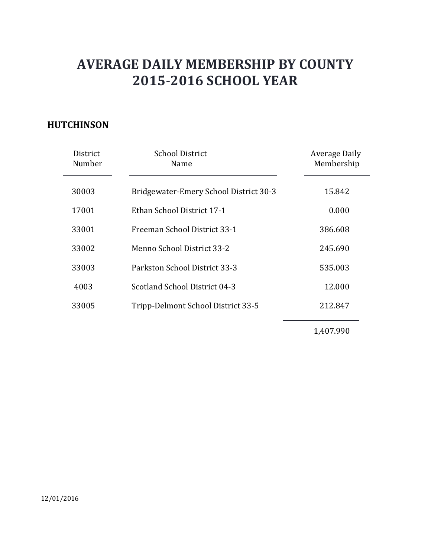### **HUTCHINSON**

| District<br>Number | <b>School District</b><br>Name         | Average Daily<br>Membership |
|--------------------|----------------------------------------|-----------------------------|
| 30003              | Bridgewater-Emery School District 30-3 | 15.842                      |
| 17001              | Ethan School District 17-1             | 0.000                       |
| 33001              | Freeman School District 33-1           | 386.608                     |
| 33002              | Menno School District 33-2             | 245.690                     |
| 33003              | Parkston School District 33-3          | 535.003                     |
| 4003               | Scotland School District 04-3          | 12.000                      |
| 33005              | Tripp-Delmont School District 33-5     | 212.847                     |
|                    |                                        | 1,407.990                   |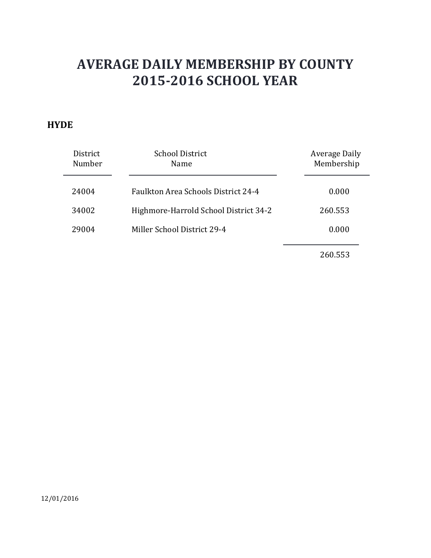### **HYDE**

| District<br>Number | <b>School District</b><br><b>Name</b> | <b>Average Daily</b><br>Membership |
|--------------------|---------------------------------------|------------------------------------|
| 24004              | Faulkton Area Schools District 24-4   | 0.000                              |
| 34002              | Highmore-Harrold School District 34-2 | 260.553                            |
| 29004              | Miller School District 29-4           | 0.000                              |
|                    |                                       |                                    |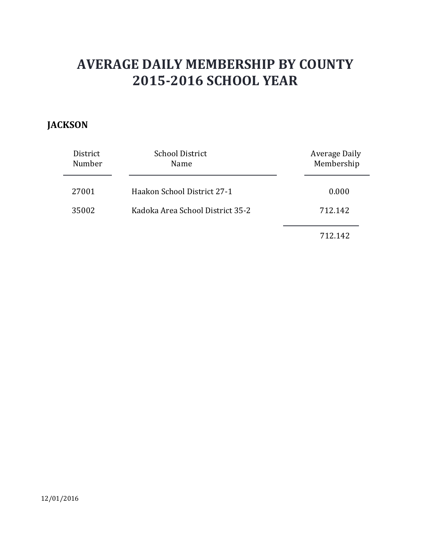### **JACKSON**

| District<br>Number | <b>School District</b><br>Name   | Average Daily<br>Membership |
|--------------------|----------------------------------|-----------------------------|
| 27001              | Haakon School District 27-1      | 0.000                       |
| 35002              | Kadoka Area School District 35-2 | 712.142                     |
|                    |                                  | 712.142                     |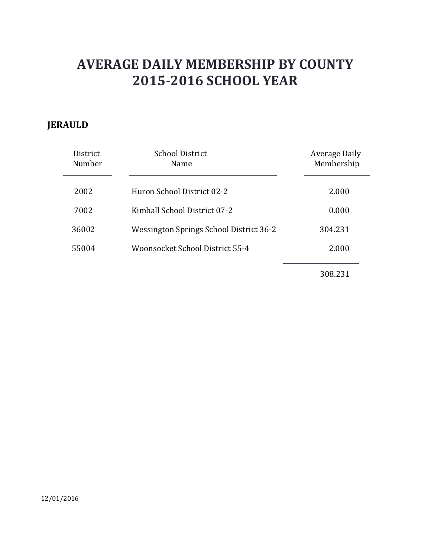### **JERAULD**

| District<br>Number | <b>School District</b><br>Name          | <b>Average Daily</b><br>Membership |
|--------------------|-----------------------------------------|------------------------------------|
| 2002               | Huron School District 02-2              | 2.000                              |
| 7002               | Kimball School District 07-2            | 0.000                              |
| 36002              | Wessington Springs School District 36-2 | 304.231                            |
| 55004              | Woonsocket School District 55-4         | 2.000                              |
|                    |                                         |                                    |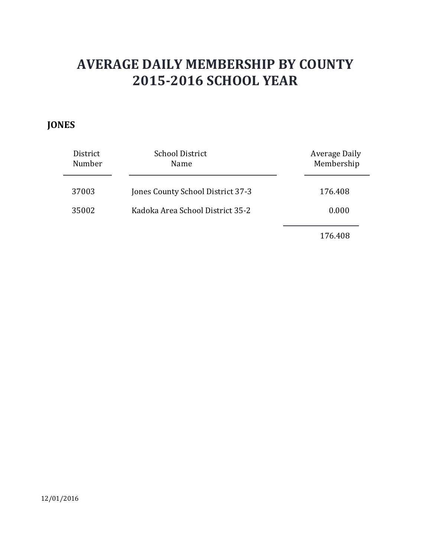### **JONES**

| District<br>Number | <b>School District</b><br>Name    | Average Daily<br>Membership |
|--------------------|-----------------------------------|-----------------------------|
| 37003              | Jones County School District 37-3 | 176.408                     |
| 35002              | Kadoka Area School District 35-2  | 0.000                       |
|                    |                                   | 176.408                     |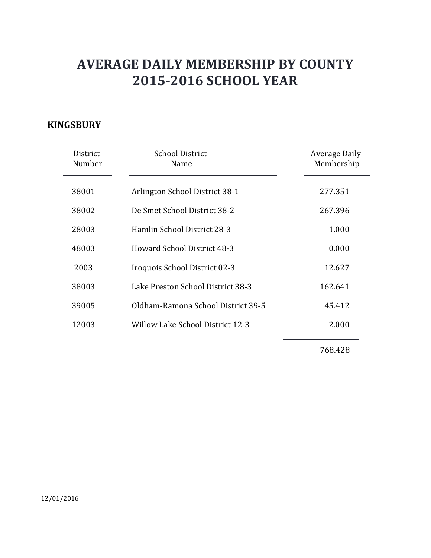### **KINGSBURY**

| District<br>Number | <b>School District</b><br>Name          | Average Daily<br>Membership |
|--------------------|-----------------------------------------|-----------------------------|
| 38001              | Arlington School District 38-1          | 277.351                     |
| 38002              | De Smet School District 38-2            | 267.396                     |
| 28003              | <b>Hamlin School District 28-3</b>      | 1.000                       |
| 48003              | <b>Howard School District 48-3</b>      | 0.000                       |
| 2003               | Iroquois School District 02-3           | 12.627                      |
| 38003              | Lake Preston School District 38-3       | 162.641                     |
| 39005              | Oldham-Ramona School District 39-5      | 45.412                      |
| 12003              | <b>Willow Lake School District 12-3</b> | 2.000                       |
|                    |                                         |                             |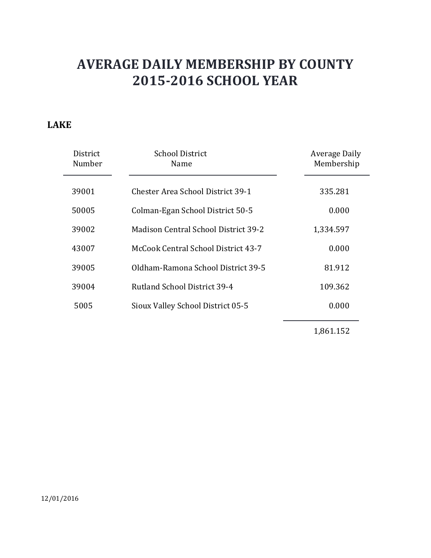### **LAKE**

| District<br>Number | <b>School District</b><br>Name              | Average Daily<br>Membership |
|--------------------|---------------------------------------------|-----------------------------|
| 39001              | <b>Chester Area School District 39-1</b>    | 335.281                     |
| 50005              | Colman-Egan School District 50-5            | 0.000                       |
| 39002              | <b>Madison Central School District 39-2</b> | 1,334.597                   |
| 43007              | McCook Central School District 43-7         | 0.000                       |
| 39005              | Oldham-Ramona School District 39-5          | 81.912                      |
| 39004              | <b>Rutland School District 39-4</b>         | 109.362                     |
| 5005               | Sioux Valley School District 05-5           | 0.000                       |
|                    |                                             | 1,861.152                   |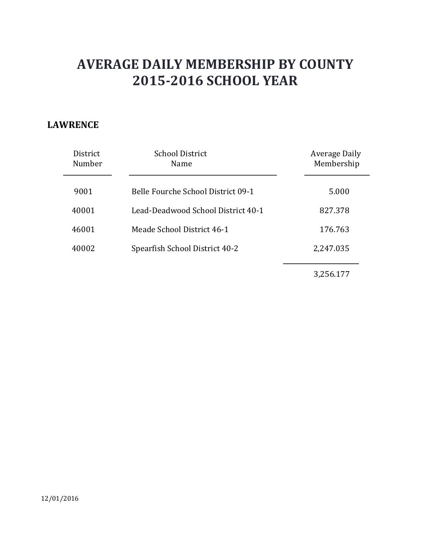### **LAWRENCE**

| District<br>Number | <b>School District</b><br>Name     | Average Daily<br>Membership |
|--------------------|------------------------------------|-----------------------------|
| 9001               | Belle Fourche School District 09-1 | 5.000                       |
| 40001              | Lead-Deadwood School District 40-1 | 827.378                     |
| 46001              | Meade School District 46-1         | 176.763                     |
| 40002              | Spearfish School District 40-2     | 2,247.035                   |
|                    |                                    | 3,256.177                   |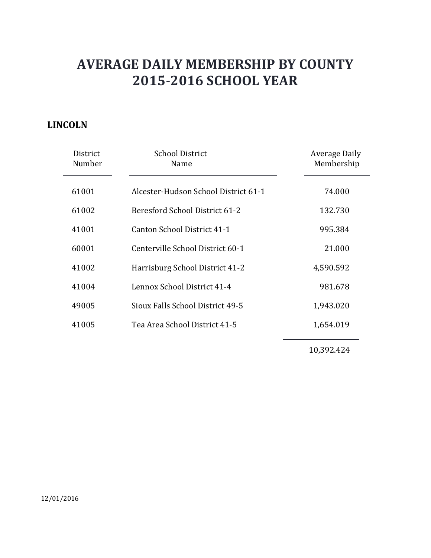### **LINCOLN**

| District<br>Number | <b>School District</b><br>Name       | Average Daily<br>Membership |
|--------------------|--------------------------------------|-----------------------------|
| 61001              | Alcester-Hudson School District 61-1 | 74.000                      |
| 61002              | Beresford School District 61-2       | 132.730                     |
| 41001              | Canton School District 41-1          | 995.384                     |
| 60001              | Centerville School District 60-1     | 21.000                      |
| 41002              | Harrisburg School District 41-2      | 4,590.592                   |
| 41004              | Lennox School District 41-4          | 981.678                     |
| 49005              | Sioux Falls School District 49-5     | 1,943.020                   |
| 41005              | Tea Area School District 41-5        | 1,654.019                   |
|                    |                                      |                             |

10,392.424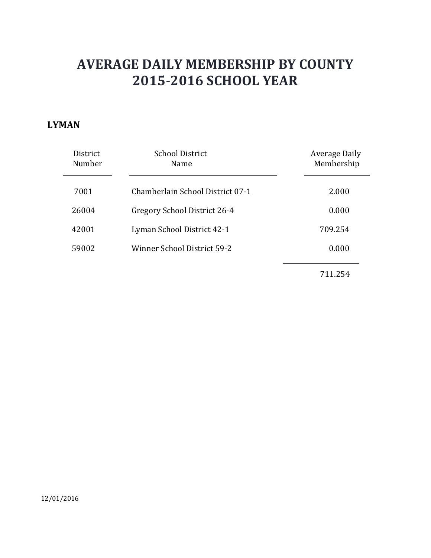#### **LYMAN**

| District<br>Number | <b>School District</b><br>Name   | Average Daily<br>Membership |
|--------------------|----------------------------------|-----------------------------|
| 7001               | Chamberlain School District 07-1 | 2.000                       |
| 26004              | Gregory School District 26-4     | 0.000                       |
| 42001              | Lyman School District 42-1       | 709.254                     |
| 59002              | Winner School District 59-2      | 0.000                       |
|                    |                                  | 711.254                     |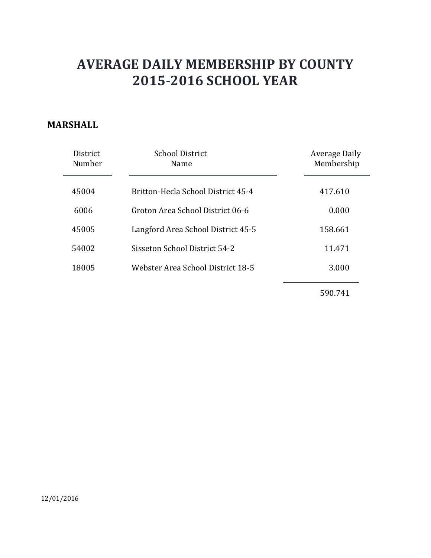### **MARSHALL**

| District<br>Number | <b>School District</b><br>Name     | Average Daily<br>Membership |
|--------------------|------------------------------------|-----------------------------|
| 45004              | Britton-Hecla School District 45-4 | 417.610                     |
| 6006               | Groton Area School District 06-6   | 0.000                       |
| 45005              | Langford Area School District 45-5 | 158.661                     |
| 54002              | Sisseton School District 54-2      | 11.471                      |
| 18005              | Webster Area School District 18-5  | 3.000                       |
|                    |                                    |                             |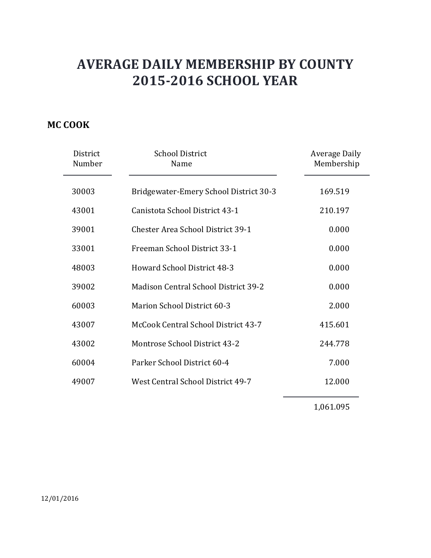### **MC COOK**

| District<br>Number | <b>School District</b><br>Name              | Average Daily<br>Membership |
|--------------------|---------------------------------------------|-----------------------------|
| 30003              | Bridgewater-Emery School District 30-3      | 169.519                     |
| 43001              | Canistota School District 43-1              | 210.197                     |
| 39001              | <b>Chester Area School District 39-1</b>    | 0.000                       |
| 33001              | Freeman School District 33-1                | 0.000                       |
| 48003              | <b>Howard School District 48-3</b>          | 0.000                       |
| 39002              | <b>Madison Central School District 39-2</b> | 0.000                       |
| 60003              | Marion School District 60-3                 | 2.000                       |
| 43007              | McCook Central School District 43-7         | 415.601                     |
| 43002              | Montrose School District 43-2               | 244.778                     |
| 60004              | Parker School District 60-4                 | 7.000                       |
| 49007              | West Central School District 49-7           | 12.000                      |

1,061.095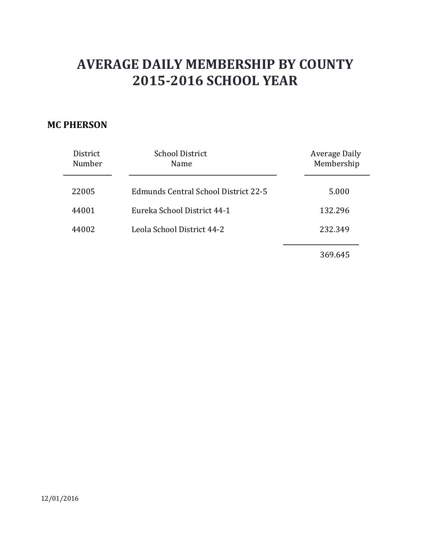### **MC PHERSON**

| District<br>Number | <b>School District</b><br>Name       | Average Daily<br>Membership |
|--------------------|--------------------------------------|-----------------------------|
| 22005              | Edmunds Central School District 22-5 | 5.000                       |
| 44001              | Eureka School District 44-1          | 132.296                     |
| 44002              | Leola School District 44-2           | 232.349                     |
|                    |                                      | 369.645                     |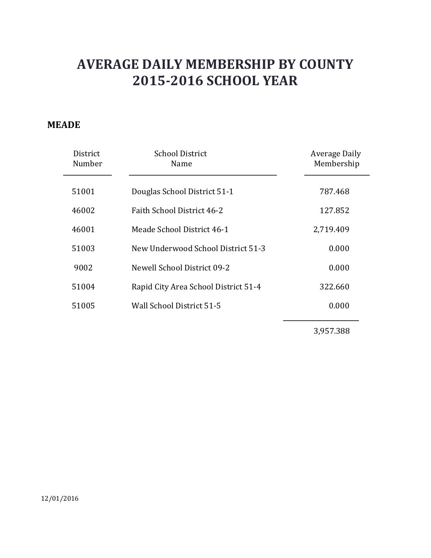### **MEADE**

| District<br>Number | <b>School District</b><br>Name       | Average Daily<br>Membership |
|--------------------|--------------------------------------|-----------------------------|
| 51001              | Douglas School District 51-1         | 787.468                     |
| 46002              | <b>Faith School District 46-2</b>    | 127.852                     |
| 46001              | Meade School District 46-1           | 2,719.409                   |
| 51003              | New Underwood School District 51-3   | 0.000                       |
| 9002               | Newell School District 09-2          | 0.000                       |
| 51004              | Rapid City Area School District 51-4 | 322.660                     |
| 51005              | Wall School District 51-5            | 0.000                       |
|                    |                                      |                             |

3,957.388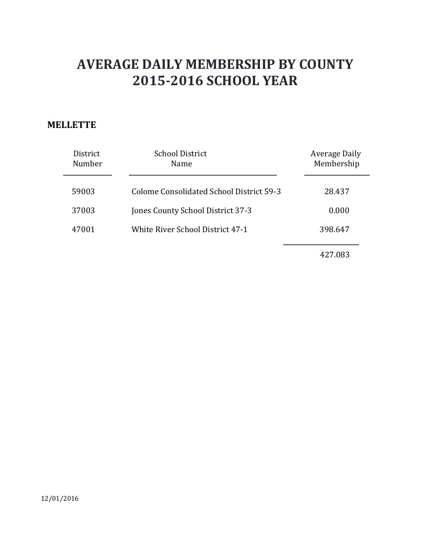### **MELLETTE**

| District<br>Number | <b>School District</b><br>Name           | Average Daily<br>Membership |
|--------------------|------------------------------------------|-----------------------------|
| 59003              | Colome Consolidated School District 59-3 | 28.437                      |
| 37003              | Jones County School District 37-3        | 0.000                       |
| 47001              | White River School District 47-1         | 398.647                     |
|                    |                                          | 427.083                     |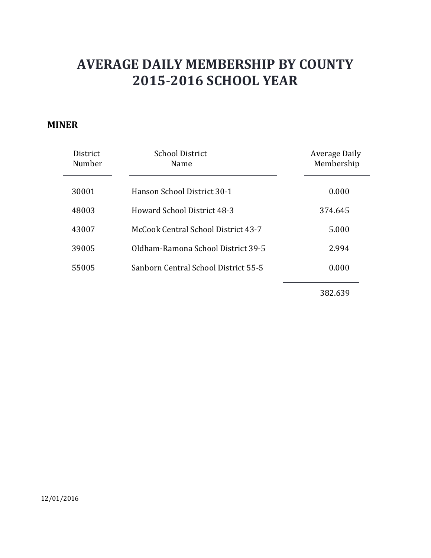#### **MINER**

| <b>District</b><br>Number | <b>School District</b><br>Name       | Average Daily<br>Membership |
|---------------------------|--------------------------------------|-----------------------------|
| 30001                     | Hanson School District 30-1          | 0.000                       |
| 48003                     | Howard School District 48-3          | 374.645                     |
| 43007                     | McCook Central School District 43-7  | 5.000                       |
| 39005                     | Oldham-Ramona School District 39-5   | 2.994                       |
| 55005                     | Sanborn Central School District 55-5 | 0.000                       |
|                           |                                      |                             |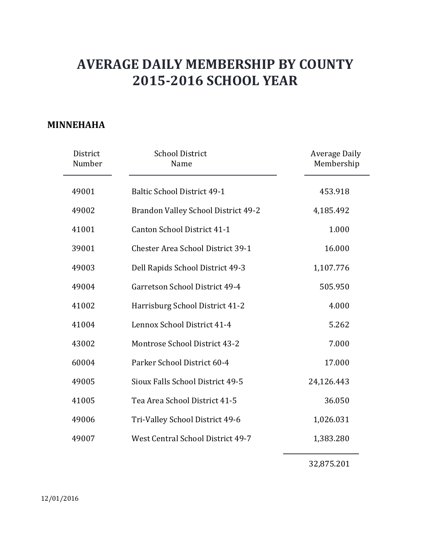#### **MINNEHAHA**

| District<br>Number | <b>School District</b><br>Name             | <b>Average Daily</b><br>Membership |
|--------------------|--------------------------------------------|------------------------------------|
| 49001              | <b>Baltic School District 49-1</b>         | 453.918                            |
| 49002              | <b>Brandon Valley School District 49-2</b> | 4,185.492                          |
| 41001              | Canton School District 41-1                | 1.000                              |
| 39001              | <b>Chester Area School District 39-1</b>   | 16.000                             |
| 49003              | Dell Rapids School District 49-3           | 1,107.776                          |
| 49004              | Garretson School District 49-4             | 505.950                            |
| 41002              | Harrisburg School District 41-2            | 4.000                              |
| 41004              | Lennox School District 41-4                | 5.262                              |
| 43002              | <b>Montrose School District 43-2</b>       | 7.000                              |
| 60004              | Parker School District 60-4                | 17.000                             |
| 49005              | Sioux Falls School District 49-5           | 24,126.443                         |
| 41005              | Tea Area School District 41-5              | 36.050                             |
| 49006              | Tri-Valley School District 49-6            | 1,026.031                          |
| 49007              | West Central School District 49-7          | 1,383.280                          |

32,875.201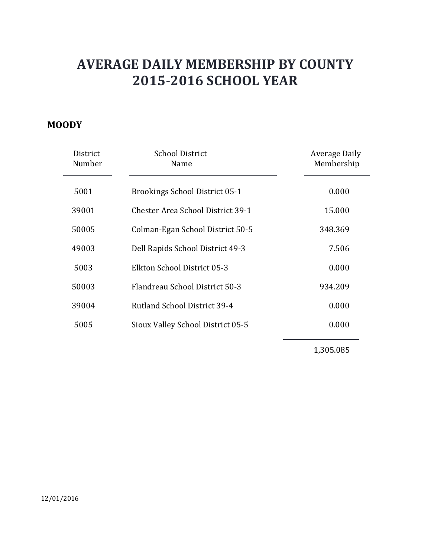### **MOODY**

| District<br>Number | <b>School District</b><br>Name           | Average Daily<br>Membership |
|--------------------|------------------------------------------|-----------------------------|
| 5001               | <b>Brookings School District 05-1</b>    | 0.000                       |
| 39001              | <b>Chester Area School District 39-1</b> | 15.000                      |
| 50005              | Colman-Egan School District 50-5         | 348.369                     |
| 49003              | Dell Rapids School District 49-3         | 7.506                       |
| 5003               | Elkton School District 05-3              | 0.000                       |
| 50003              | <b>Flandreau School District 50-3</b>    | 934.209                     |
| 39004              | <b>Rutland School District 39-4</b>      | 0.000                       |
| 5005               | Sioux Valley School District 05-5        | 0.000                       |
|                    |                                          |                             |

1,305.085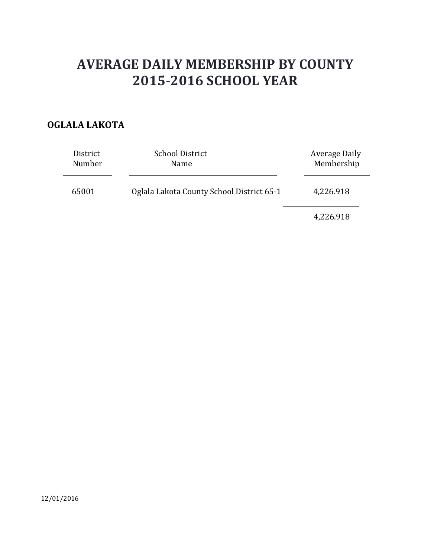### **OGLALA LAKOTA**

| District<br>Number | <b>School District</b><br>Name            | Average Daily<br>Membership |
|--------------------|-------------------------------------------|-----------------------------|
| 65001              | Oglala Lakota County School District 65-1 | 4,226.918                   |
|                    |                                           | 4,226.918                   |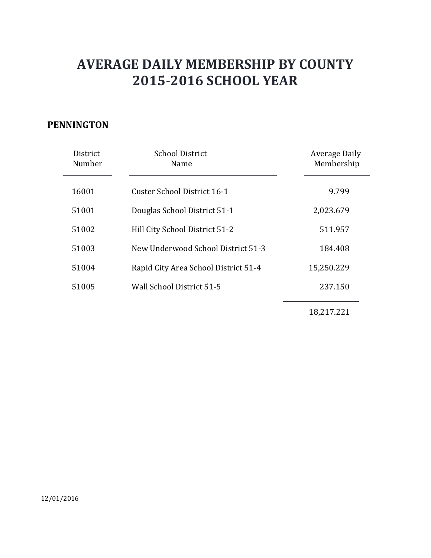### **PENNINGTON**

| District<br>Number | <b>School District</b><br>Name       | Average Daily<br>Membership |
|--------------------|--------------------------------------|-----------------------------|
| 16001              | Custer School District 16-1          | 9.799                       |
| 51001              | Douglas School District 51-1         | 2,023.679                   |
| 51002              | Hill City School District 51-2       | 511.957                     |
| 51003              | New Underwood School District 51-3   | 184.408                     |
| 51004              | Rapid City Area School District 51-4 | 15,250.229                  |
| 51005              | Wall School District 51-5            | 237.150                     |
|                    |                                      |                             |

18,217.221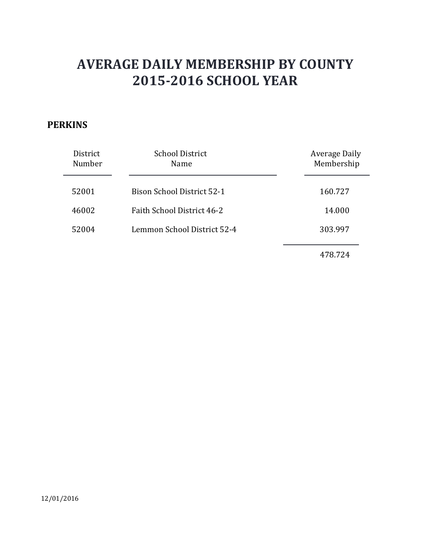### **PERKINS**

| District<br>Number | <b>School District</b><br>Name | Average Daily<br>Membership |
|--------------------|--------------------------------|-----------------------------|
| 52001              | Bison School District 52-1     | 160.727                     |
| 46002              | Faith School District 46-2     | 14.000                      |
| 52004              | Lemmon School District 52-4    | 303.997                     |
|                    |                                | 478.724                     |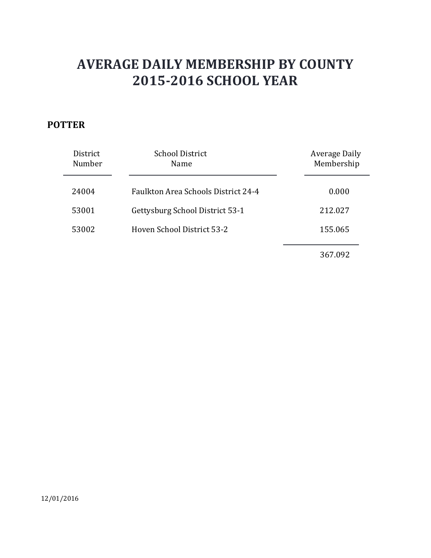### **POTTER**

| District<br>Number | <b>School District</b><br>Name             | Average Daily<br>Membership |
|--------------------|--------------------------------------------|-----------------------------|
| 24004              | <b>Faulkton Area Schools District 24-4</b> | 0.000                       |
| 53001              | Gettysburg School District 53-1            | 212.027                     |
| 53002              | Hoven School District 53-2                 | 155.065                     |
|                    |                                            | 367.092                     |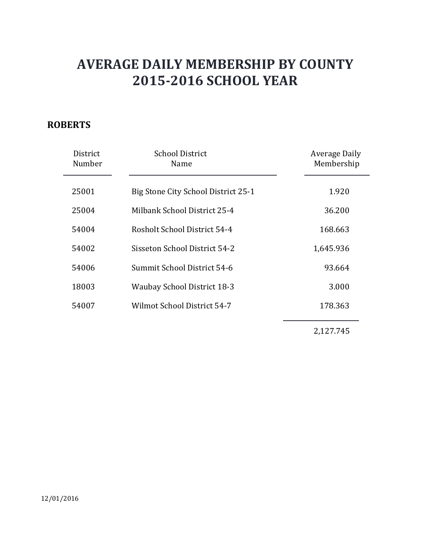### **ROBERTS**

| District<br>Number | <b>School District</b><br>Name      | Average Daily<br>Membership |
|--------------------|-------------------------------------|-----------------------------|
| 25001              | Big Stone City School District 25-1 | 1.920                       |
| 25004              | Milbank School District 25-4        | 36.200                      |
| 54004              | Rosholt School District 54-4        | 168.663                     |
| 54002              | Sisseton School District 54-2       | 1,645.936                   |
| 54006              | Summit School District 54-6         | 93.664                      |
| 18003              | <b>Waubay School District 18-3</b>  | 3.000                       |
| 54007              | Wilmot School District 54-7         | 178.363                     |
|                    |                                     | 2,127.745                   |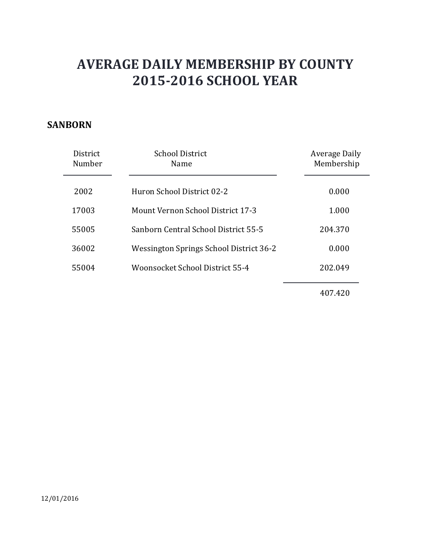#### **SANBORN**

| District<br>Number | <b>School District</b><br>Name           | Average Daily<br>Membership |
|--------------------|------------------------------------------|-----------------------------|
| 2002               | Huron School District 02-2               | 0.000                       |
| 17003              | <b>Mount Vernon School District 17-3</b> | 1.000                       |
| 55005              | Sanborn Central School District 55-5     | 204.370                     |
| 36002              | Wessington Springs School District 36-2  | 0.000                       |
| 55004              | Woonsocket School District 55-4          | 202.049                     |
|                    |                                          |                             |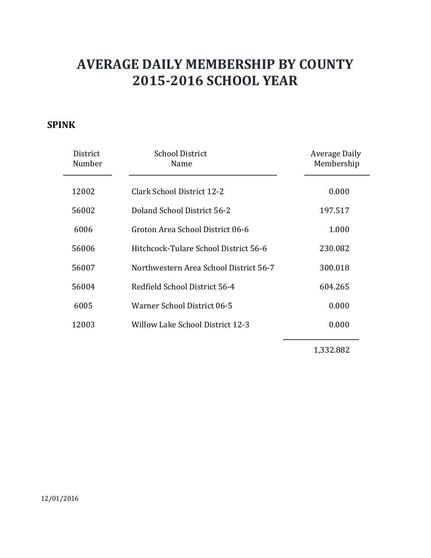### **SPINK**

| District<br>Number | <b>School District</b><br>Name          | Average Daily<br>Membership |
|--------------------|-----------------------------------------|-----------------------------|
| 12002              | Clark School District 12-2              | 0.000                       |
| 56002              | Doland School District 56-2             | 197.517                     |
| 6006               | Groton Area School District 06-6        | 1.000                       |
| 56006              | Hitchcock-Tulare School District 56-6   | 230.082                     |
| 56007              | Northwestern Area School District 56-7  | 300.018                     |
| 56004              | Redfield School District 56-4           | 604.265                     |
| 6005               | Warner School District 06-5             | 0.000                       |
| 12003              | <b>Willow Lake School District 12-3</b> | 0.000                       |
|                    |                                         |                             |

1,332.882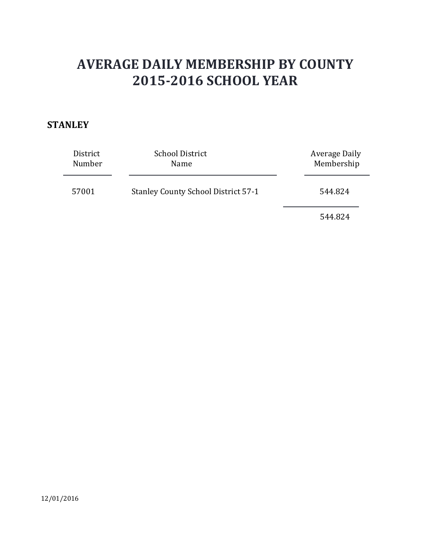### **STANLEY**

| District<br>Number | <b>School District</b><br>Name             | Average Daily<br>Membership |
|--------------------|--------------------------------------------|-----------------------------|
| 57001              | <b>Stanley County School District 57-1</b> | 544.824                     |
|                    |                                            | 544.824                     |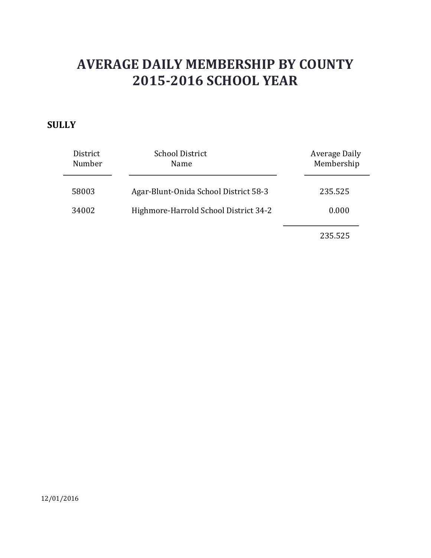### **SULLY**

| District<br>Number | <b>School District</b><br>Name        | Average Daily<br>Membership |
|--------------------|---------------------------------------|-----------------------------|
| 58003              | Agar-Blunt-Onida School District 58-3 | 235.525                     |
| 34002              | Highmore-Harrold School District 34-2 | 0.000                       |
|                    |                                       | 235.525                     |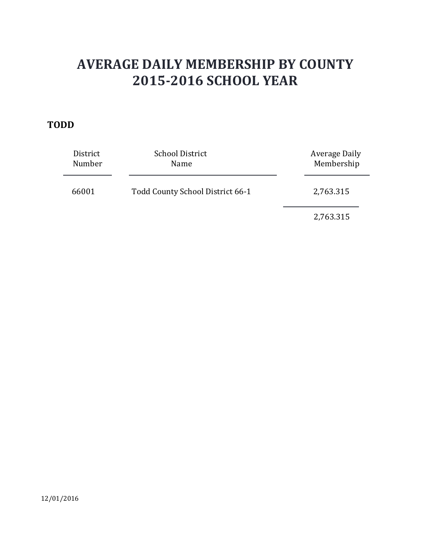### **TODD**

| District<br>Number | <b>School District</b><br>Name   | Average Daily<br>Membership |
|--------------------|----------------------------------|-----------------------------|
| 66001              | Todd County School District 66-1 | 2,763.315                   |
|                    |                                  | 2,763.315                   |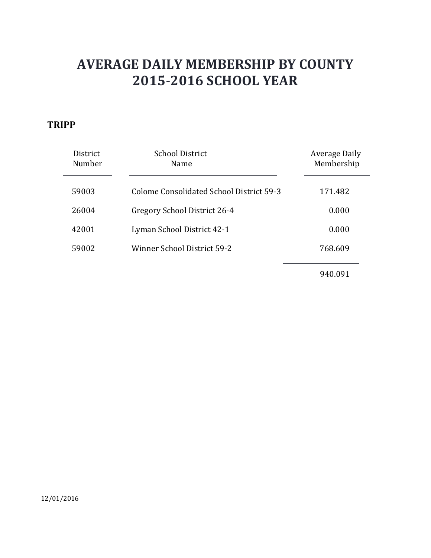### **TRIPP**

| <b>District</b><br>Number | School District<br>Name                  | Average Daily<br>Membership |
|---------------------------|------------------------------------------|-----------------------------|
| 59003                     | Colome Consolidated School District 59-3 | 171.482                     |
| 26004                     | Gregory School District 26-4             | 0.000                       |
| 42001                     | Lyman School District 42-1               | 0.000                       |
| 59002                     | <b>Winner School District 59-2</b>       | 768.609                     |
|                           |                                          | 940.091                     |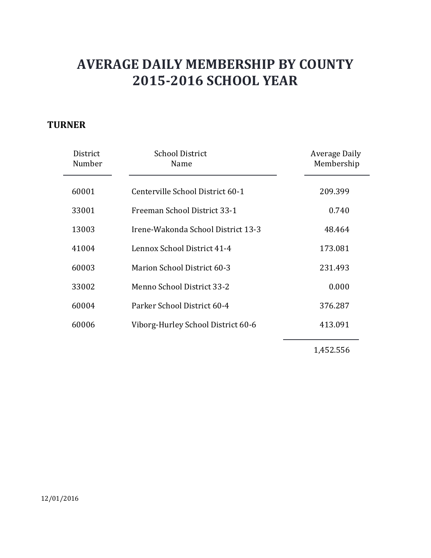### **TURNER**

| District<br>Number | <b>School District</b><br>Name     | Average Daily<br>Membership |
|--------------------|------------------------------------|-----------------------------|
| 60001              | Centerville School District 60-1   | 209.399                     |
| 33001              | Freeman School District 33-1       | 0.740                       |
| 13003              | Irene-Wakonda School District 13-3 | 48.464                      |
| 41004              | Lennox School District 41-4        | 173.081                     |
| 60003              | Marion School District 60-3        | 231.493                     |
| 33002              | Menno School District 33-2         | 0.000                       |
| 60004              | Parker School District 60-4        | 376.287                     |
| 60006              | Viborg-Hurley School District 60-6 | 413.091                     |
|                    |                                    |                             |

1,452.556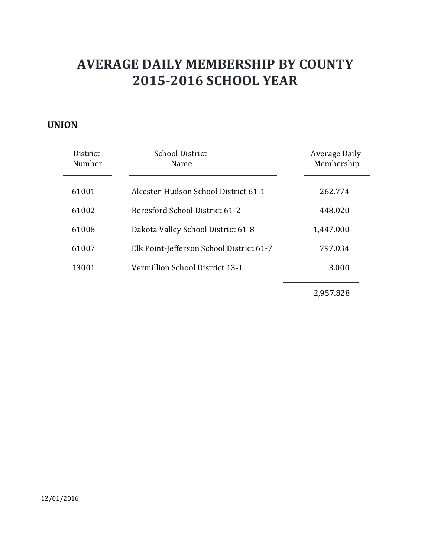#### **UNION**

| <b>District</b><br>Number | <b>School District</b><br>Name           | <b>Average Daily</b><br>Membership |
|---------------------------|------------------------------------------|------------------------------------|
| 61001                     | Alcester-Hudson School District 61-1     | 262.774                            |
| 61002                     | Beresford School District 61-2           | 448.020                            |
| 61008                     | Dakota Valley School District 61-8       | 1,447.000                          |
| 61007                     | Elk Point-Jefferson School District 61-7 | 797.034                            |
| 13001                     | Vermillion School District 13-1          | 3.000                              |
|                           |                                          |                                    |

2,957.828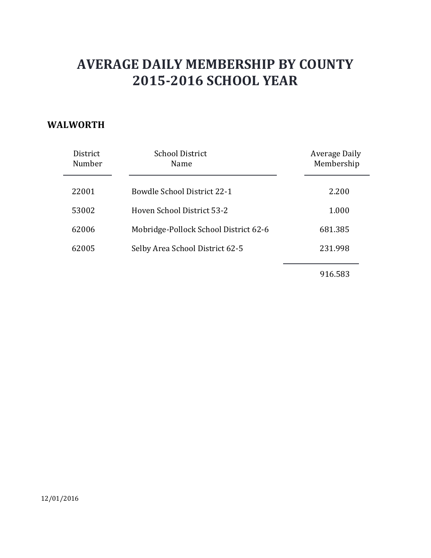#### **WALWORTH**

| District<br>Number | School District<br>Name               | Average Daily<br>Membership |
|--------------------|---------------------------------------|-----------------------------|
| 22001              | Bowdle School District 22-1           | 2.200                       |
| 53002              | Hoven School District 53-2            | 1.000                       |
| 62006              | Mobridge-Pollock School District 62-6 | 681.385                     |
| 62005              | Selby Area School District 62-5       | 231.998                     |
|                    |                                       | 0.1200                      |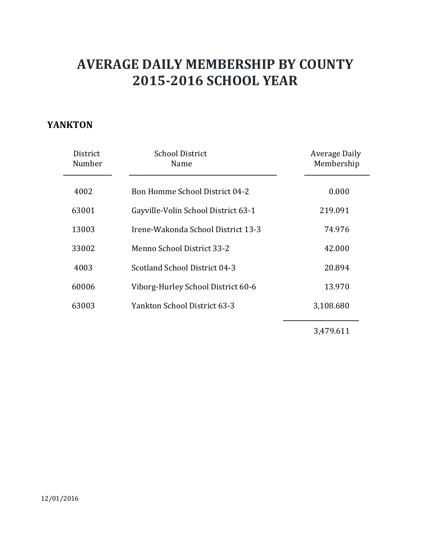#### **YANKTON**

| District<br>Number | <b>School District</b><br>Name        | Average Daily<br>Membership |
|--------------------|---------------------------------------|-----------------------------|
| 4002               | <b>Bon Homme School District 04-2</b> | 0.000                       |
| 63001              | Gayville-Volin School District 63-1   | 219.091                     |
| 13003              | Irene-Wakonda School District 13-3    | 74.976                      |
| 33002              | Menno School District 33-2            | 42.000                      |
| 4003               | Scotland School District 04-3         | 20.894                      |
| 60006              | Viborg-Hurley School District 60-6    | 13.970                      |
| 63003              | Yankton School District 63-3          | 3,108.680                   |
|                    |                                       | 3,479.611                   |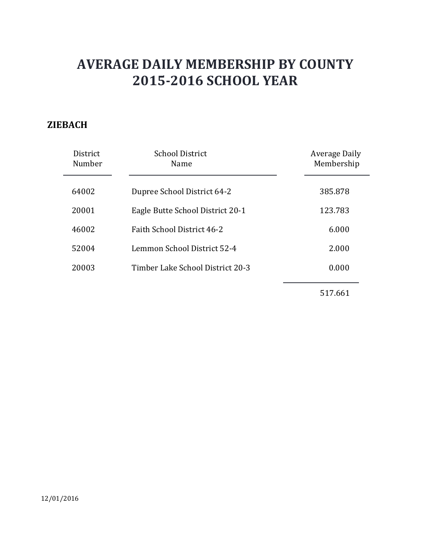### **ZIEBACH**

| District<br>Number | School District<br>Name           | Average Daily<br>Membership |
|--------------------|-----------------------------------|-----------------------------|
| 64002              | Dupree School District 64-2       | 385.878                     |
| 20001              | Eagle Butte School District 20-1  | 123.783                     |
| 46002              | <b>Faith School District 46-2</b> | 6.000                       |
| 52004              | Lemmon School District 52-4       | 2.000                       |
| 20003              | Timber Lake School District 20-3  | 0.000                       |
|                    |                                   |                             |